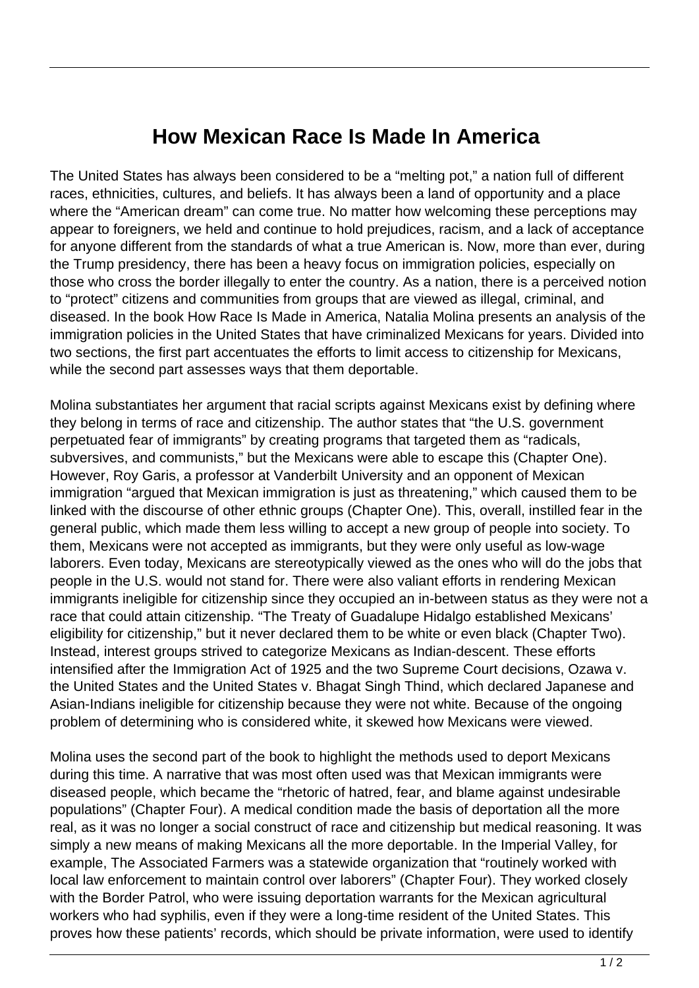## **How Mexican Race Is Made In America**

The United States has always been considered to be a "melting pot," a nation full of different races, ethnicities, cultures, and beliefs. It has always been a land of opportunity and a place where the "American dream" can come true. No matter how welcoming these perceptions may appear to foreigners, we held and continue to hold prejudices, racism, and a lack of acceptance for anyone different from the standards of what a true American is. Now, more than ever, during the Trump presidency, there has been a heavy focus on immigration policies, especially on those who cross the border illegally to enter the country. As a nation, there is a perceived notion to "protect" citizens and communities from groups that are viewed as illegal, criminal, and diseased. In the book How Race Is Made in America, Natalia Molina presents an analysis of the immigration policies in the United States that have criminalized Mexicans for years. Divided into two sections, the first part accentuates the efforts to limit access to citizenship for Mexicans, while the second part assesses ways that them deportable.

Molina substantiates her argument that racial scripts against Mexicans exist by defining where they belong in terms of race and citizenship. The author states that "the U.S. government perpetuated fear of immigrants" by creating programs that targeted them as "radicals, subversives, and communists," but the Mexicans were able to escape this (Chapter One). However, Roy Garis, a professor at Vanderbilt University and an opponent of Mexican immigration "argued that Mexican immigration is just as threatening," which caused them to be linked with the discourse of other ethnic groups (Chapter One). This, overall, instilled fear in the general public, which made them less willing to accept a new group of people into society. To them, Mexicans were not accepted as immigrants, but they were only useful as low-wage laborers. Even today, Mexicans are stereotypically viewed as the ones who will do the jobs that people in the U.S. would not stand for. There were also valiant efforts in rendering Mexican immigrants ineligible for citizenship since they occupied an in-between status as they were not a race that could attain citizenship. "The Treaty of Guadalupe Hidalgo established Mexicans' eligibility for citizenship," but it never declared them to be white or even black (Chapter Two). Instead, interest groups strived to categorize Mexicans as Indian-descent. These efforts intensified after the Immigration Act of 1925 and the two Supreme Court decisions, Ozawa v. the United States and the United States v. Bhagat Singh Thind, which declared Japanese and Asian-Indians ineligible for citizenship because they were not white. Because of the ongoing problem of determining who is considered white, it skewed how Mexicans were viewed.

Molina uses the second part of the book to highlight the methods used to deport Mexicans during this time. A narrative that was most often used was that Mexican immigrants were diseased people, which became the "rhetoric of hatred, fear, and blame against undesirable populations" (Chapter Four). A medical condition made the basis of deportation all the more real, as it was no longer a social construct of race and citizenship but medical reasoning. It was simply a new means of making Mexicans all the more deportable. In the Imperial Valley, for example, The Associated Farmers was a statewide organization that "routinely worked with local law enforcement to maintain control over laborers" (Chapter Four). They worked closely with the Border Patrol, who were issuing deportation warrants for the Mexican agricultural workers who had syphilis, even if they were a long-time resident of the United States. This proves how these patients' records, which should be private information, were used to identify